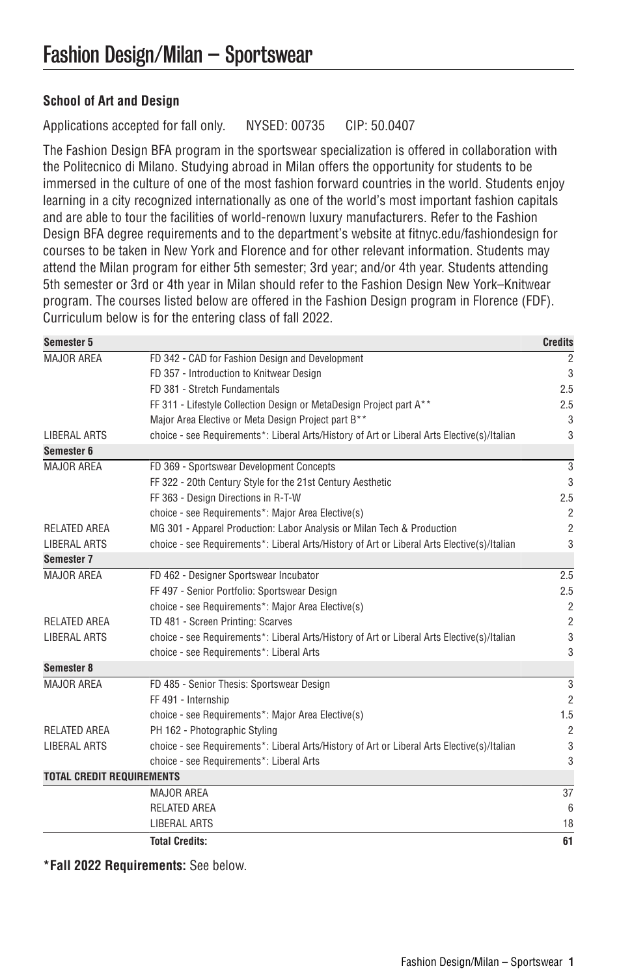## **School of Art and Design**

Applications accepted for fall only. NYSED: 00735 CIP: 50.0407

The Fashion Design BFA program in the sportswear specialization is offered in collaboration with the Politecnico di Milano. Studying abroad in Milan offers the opportunity for students to be immersed in the culture of one of the most fashion forward countries in the world. Students enjoy learning in a city recognized internationally as one of the world's most important fashion capitals and are able to tour the facilities of world-renown luxury manufacturers. Refer to the Fashion Design BFA degree requirements and to the department's website at [fitnyc.edu/fashiondesign](http://www.fitnyc.edu/fashion-design/) for courses to be taken in New York and Florence and for other relevant information. Students may attend the Milan program for either 5th semester; 3rd year; and/or 4th year. Students attending 5th semester or 3rd or 4th year in Milan should refer to the Fashion Design New York–Knitwear program. The courses listed below are offered in the Fashion Design program in Florence (FDF). Curriculum below is for the entering class of fall 2022.

| Semester 5                       |                                                                                             | <b>Credits</b> |
|----------------------------------|---------------------------------------------------------------------------------------------|----------------|
| MAJOR AREA                       | FD 342 - CAD for Fashion Design and Development                                             | $\overline{2}$ |
|                                  | FD 357 - Introduction to Knitwear Design                                                    | 3              |
|                                  | FD 381 - Stretch Fundamentals                                                               | 2.5            |
|                                  | FF 311 - Lifestyle Collection Design or MetaDesign Project part A**                         | 2.5            |
|                                  | Major Area Elective or Meta Design Project part B**                                         | 3              |
| <b>LIBERAL ARTS</b>              | choice - see Requirements*: Liberal Arts/History of Art or Liberal Arts Elective(s)/Italian | 3              |
| Semester 6                       |                                                                                             |                |
| MAJOR AREA                       | FD 369 - Sportswear Development Concepts                                                    | 3              |
|                                  | FF 322 - 20th Century Style for the 21st Century Aesthetic                                  | 3              |
|                                  | FF 363 - Design Directions in R-T-W                                                         | 2.5            |
|                                  | choice - see Requirements*: Major Area Elective(s)                                          | $\overline{2}$ |
| <b>RELATED AREA</b>              | MG 301 - Apparel Production: Labor Analysis or Milan Tech & Production                      | $\overline{2}$ |
| <b>LIBERAL ARTS</b>              | choice - see Requirements*: Liberal Arts/History of Art or Liberal Arts Elective(s)/Italian | 3              |
| Semester 7                       |                                                                                             |                |
| MAJOR AREA                       | FD 462 - Designer Sportswear Incubator                                                      | 2.5            |
|                                  | FF 497 - Senior Portfolio: Sportswear Design                                                | 2.5            |
|                                  | choice - see Requirements*: Major Area Elective(s)                                          | $\overline{2}$ |
| <b>RELATED AREA</b>              | TD 481 - Screen Printing: Scarves                                                           | $\overline{2}$ |
| <b>LIBERAL ARTS</b>              | choice - see Requirements*: Liberal Arts/History of Art or Liberal Arts Elective(s)/Italian | 3              |
|                                  | choice - see Requirements*: Liberal Arts                                                    | 3              |
| Semester 8                       |                                                                                             |                |
| MAJOR AREA                       | FD 485 - Senior Thesis: Sportswear Design                                                   | 3              |
|                                  | FF 491 - Internship                                                                         | $\overline{2}$ |
|                                  | choice - see Requirements*: Major Area Elective(s)                                          | 1.5            |
| <b>RELATED AREA</b>              | PH 162 - Photographic Styling                                                               | $\overline{2}$ |
| LIBERAL ARTS                     | choice - see Requirements*: Liberal Arts/History of Art or Liberal Arts Elective(s)/Italian | 3              |
|                                  | choice - see Requirements*: Liberal Arts                                                    | 3              |
| <b>TOTAL CREDIT REQUIREMENTS</b> |                                                                                             |                |
|                                  | MAJOR AREA                                                                                  | 37             |
|                                  | <b>RELATED AREA</b>                                                                         | 6              |
|                                  | LIBERAL ARTS                                                                                | 18             |
|                                  | <b>Total Credits:</b>                                                                       | 61             |

**\*Fall 2022 Requirements:** See below.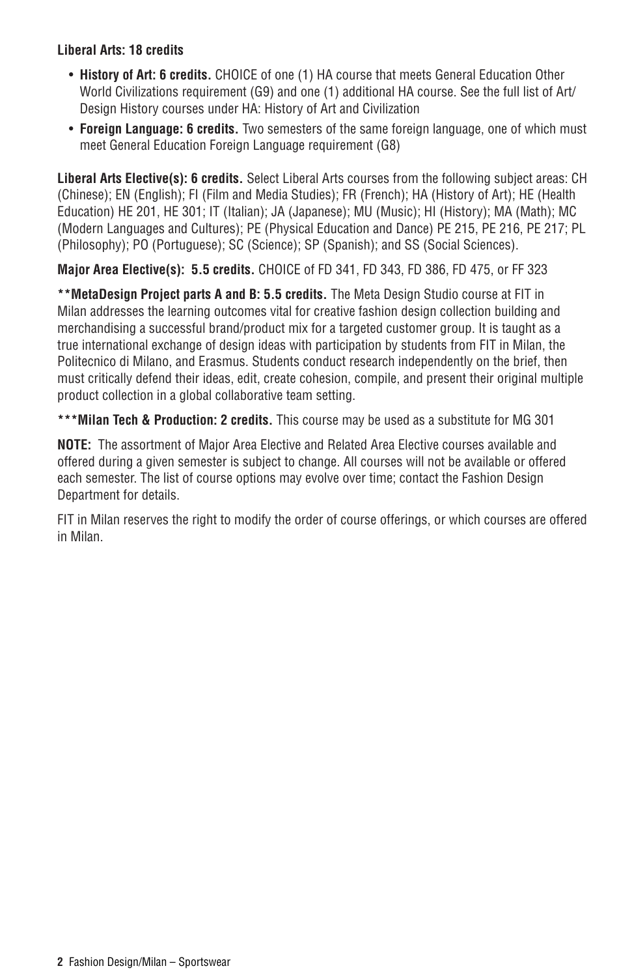## **Liberal Arts: 18 credits**

- **History of Art: 6 credits.** CHOICE of one (1) HA course that meets General Education Other World Civilizations requirement (G9) and one (1) additional HA course. See the full list of Art/ Design History courses under [HA: History of Art and Civilization](http://catalog.fitnyc.edu/undergraduate/courses/ha/)
- **Foreign Language: 6 credits.** Two semesters of the same foreign language, one of which must meet General Education Foreign Language requirement (G8)

**Liberal Arts Elective(s): 6 credits.** Select Liberal Arts courses from the following subject areas: [CH](https://catalog.fitnyc.edu/undergraduate/courses/ch/) (Chinese); [EN](https://catalog.fitnyc.edu/undergraduate/courses/en/) (English); [FI](https://catalog.fitnyc.edu/undergraduate/courses/fi/) (Film and Media Studies); [FR](https://catalog.fitnyc.edu/undergraduate/courses/fr/) (French); [HA](https://catalog.fitnyc.edu/undergraduate/courses/ha/) (History of Art); [HE](https://catalog.fitnyc.edu/undergraduate/courses/he/) (Health Education) HE 201, HE 301; [IT](https://catalog.fitnyc.edu/undergraduate/courses/it/) (Italian); [JA](https://catalog.fitnyc.edu/undergraduate/courses/ja/) (Japanese); [MU](https://catalog.fitnyc.edu/undergraduate/courses/mu/) (Music); [HI](https://catalog.fitnyc.edu/undergraduate/courses/hi/) (History); [MA](https://catalog.fitnyc.edu/undergraduate/courses/ma/) (Math); [MC](https://catalog.fitnyc.edu/undergraduate/courses/mc/) (Modern Languages and Cultures); [PE](https://catalog.fitnyc.edu/undergraduate/courses/pe/) (Physical Education and Dance) PE 215, PE 216, PE 217; [PL](https://catalog.fitnyc.edu/undergraduate/courses/pl/) (Philosophy); [PO](https://catalog.fitnyc.edu/undergraduate/courses/po/) (Portuguese); [SC](https://catalog.fitnyc.edu/undergraduate/courses/sc/) (Science); [SP](https://catalog.fitnyc.edu/undergraduate/courses/sp/) (Spanish); and [SS](https://catalog.fitnyc.edu/undergraduate/courses/ss/) (Social Sciences).

**Major Area Elective(s): 5.5 credits.** CHOICE of FD 341, FD 343, FD 386, FD 475, or FF 323

**\*\*MetaDesign Project parts A and B: 5.5 credits.** The Meta Design Studio course at FIT in Milan addresses the learning outcomes vital for creative fashion design collection building and merchandising a successful brand/product mix for a targeted customer group. It is taught as a true international exchange of design ideas with participation by students from FIT in Milan, the Politecnico di Milano, and Erasmus. Students conduct research independently on the brief, then must critically defend their ideas, edit, create cohesion, compile, and present their original multiple product collection in a global collaborative team setting.

**\*\*\*Milan Tech & Production: 2 credits.** This course may be used as a substitute for MG 301

**NOTE:** The assortment of Major Area Elective and Related Area Elective courses available and offered during a given semester is subject to change. All courses will not be available or offered each semester. The list of course options may evolve over time; contact the Fashion Design Department for details.

FIT in Milan reserves the right to modify the order of course offerings, or which courses are offered in Milan.